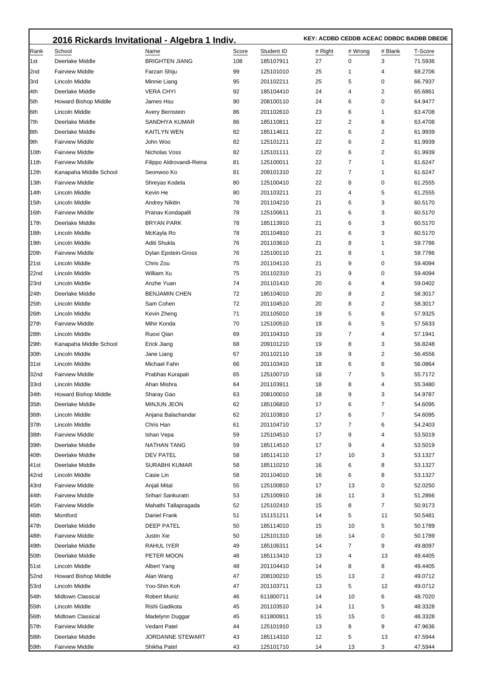| Score<br>Student ID<br># Wrong<br># Blank<br> Rank<br>School<br>Name<br># Right<br>T-Score<br><b>BRIGHTEN JIANG</b><br>Deerlake Middle<br>108<br>185107911<br>27<br>0<br>3<br>71.5936<br>l1st<br><b>Fairview Middle</b><br>Farzan Shiju<br>99<br>25<br>68.2706<br>2nd<br>125101010<br>1<br>4<br>95<br>25<br>5<br>66.7937<br>3rd<br>Lincoln Middle<br>Minnie Liang<br>201102211<br>0<br>4th<br><b>VERA CHYI</b><br>92<br>24<br>4<br>2<br>Deerlake Middle<br>185104410<br>65.6861<br><b>Howard Bishop Middle</b><br>24<br>6<br>0<br>64.9477<br>5th<br>James Hsu<br>90<br>208100110<br>Lincoln Middle<br>Avery Bernstein<br>23<br>6<br>63.4708<br>6th<br>86<br>201102610<br>1<br>Deerlake Middle<br><b>SANDHYA KUMAR</b><br>22<br>2<br>6<br>63.4708<br>7th<br>86<br>185110811<br>22<br>6<br>2<br>Deerlake Middle<br><b>KAITLYN WEN</b><br>82<br>61.9939<br>8th<br>185114611<br><b>Fairview Middle</b><br>John Woo<br>82<br>22<br>6<br>2<br>61.9939<br>19th<br>125101211<br>22<br>Nicholas Voss<br>82<br>6<br>2<br>10th<br><b>Fairview Middle</b><br>125101111<br>61.9939<br>22<br>7<br><b>Fairview Middle</b><br> 11th<br>Filippo Aldrovandi-Reina<br>81<br>125100011<br>1<br>61.6247<br>7<br>Seonwoo Ko<br>22<br>12th<br>Kanapaha Middle School<br>81<br>209101310<br>1<br>61.6247<br>22<br><b>Fairview Middle</b><br>Shreyas Kodela<br>80<br>8<br>0<br>61.2555<br>13th<br>125100410<br>Lincoln Middle<br>80<br>21<br>4<br>5<br>61.2555<br>14th<br>Kevin He<br>201103211<br>78<br>21<br>6<br>3<br>60.5170<br>15th<br>Lincoln Middle<br>Andrey Nikitin<br>201104210<br>Pranav Kondapalli<br>21<br>6<br>3<br>60.5170<br>16th<br><b>Fairview Middle</b><br>78<br>125100611<br><b>BRYAN PARK</b><br>78<br>21<br>6<br>3<br>60.5170<br>17th<br>Deerlake Middle<br>185113910<br>Lincoln Middle<br>McKayla Ro<br>78<br>21<br>6<br>3<br>60.5170<br>18th<br>201104910<br>19th<br>Lincoln Middle<br>Aditi Shukla<br>21<br>8<br>59.7786<br>76<br>201103610<br>1<br><b>Fairview Middle</b><br>Dylan Epstein-Gross<br>76<br>21<br>8<br>59.7786<br>20th<br>125100110<br>1<br>21st<br>Chris Zou<br>75<br>21<br>9<br>0<br>59.4094<br>Lincoln Middle<br>201104110<br>William Xu<br>75<br>21<br>9<br>0<br>22nd<br>Lincoln Middle<br>201102310<br>59.4094<br>74<br>20<br>6<br>23rd<br>Lincoln Middle<br>Anzhe Yuan<br>201101410<br>4<br>59.0402<br><b>BENJAMIN CHEN</b><br>72<br>20<br>8<br>2<br>24th<br>Deerlake Middle<br>185104010<br>58.3017<br>25th<br>Lincoln Middle<br>Sam Cohen<br>72<br>20<br>8<br>2<br>58.3017<br>201104510<br>Lincoln Middle<br>Kevin Zheng<br>71<br>19<br>5<br>6<br>26th<br>201105010<br>57.9325<br>27th<br><b>Fairview Middle</b><br>Mihir Konda<br>70<br>19<br>6<br>125100510<br>5<br>57.5633<br>28th<br>Lincoln Middle<br>Ruoxi Qian<br>19<br>7<br>4<br>69<br>201104310<br>57.1941<br>8<br>Kanapaha Middle School<br>19<br>3<br>29th<br>Erick Jiang<br>68<br>209101210<br>56.8248<br>30th<br>Lincoln Middle<br>19<br>9<br>2<br>Jane Liang<br>67<br>201102110<br>56.4556<br>Lincoln Middle<br>Michael Fahn<br>18<br>6<br>6<br>56.0864<br>31st<br>66<br>201103410<br>7<br><b>Fairview Middle</b><br>Prabhas Kurapati<br>18<br>5<br>32nd<br>65<br>125100710<br>55.7172<br>33rd<br>Ahan Mishra<br>18<br>8<br>55.3480<br>Lincoln Middle<br>64<br>201103911<br>4<br>34th<br>Howard Bishop Middle<br>Sharay Gao<br>63<br>208100010<br>18<br>9<br>54.9787<br>3<br>35th<br><b>MINJUN JEON</b><br>62<br>17<br>6<br>7<br>Deerlake Middle<br>185106810<br>54.6095<br>Lincoln Middle<br>Anjana Balachandar<br>62<br>17<br>6<br>7<br>54.6095<br>36th<br>201103810<br>37th<br><b>Lincoln Middle</b><br>Chris Han<br>17<br>7<br>6<br>54.2403<br>61<br>201104710<br>17<br>38th<br><b>Fairview Middle</b><br>Ishan Vepa<br>59<br>125104510<br>9<br>53.5019<br>4<br>39th<br>Deerlake Middle<br><b>NATHAN TANG</b><br>59<br>17<br>9<br>4<br>53.5019<br>185114510<br>40th<br>Deerlake Middle<br><b>DEV PATEL</b><br>185114110<br>17<br>10<br>3<br>53.1327<br>58<br>41st<br>Deerlake Middle<br><b>SURABHI KUMAR</b><br>16<br>6<br>8<br>53.1327<br>58<br>185110210<br>42nd<br>Lincoln Middle<br>Casie Lin<br>16<br>6<br>8<br>53.1327<br>58<br>201104010<br>43rd<br><b>Fairview Middle</b><br>Anjali Mital<br>55<br>125100810<br>17<br>13<br>0<br>52.0250<br>44th<br><b>Fairview Middle</b><br>Srihari Sankuratri<br>53<br>125100910<br>16<br>11<br>3<br>51.2866<br>45th<br><b>Fairview Middle</b><br>Mahathi Tallapragada<br>52<br>15<br>8<br>7<br>50.9173<br>125102410<br>5<br>11<br>46th<br>Montford<br>Daniel Frank<br>51<br>14<br>50.5481<br>151151211<br>5<br>47th<br>Deerlake Middle<br>DEEP PATEL<br>50<br>15<br>10<br>185114010<br>50.1789<br>48th<br><b>Fairview Middle</b><br>Justin Xie<br>50<br>125101310<br>16<br>14<br>0<br>50.1789<br>49th<br>Deerlake Middle<br>RAHUL IYER<br>49<br>185106311<br>14<br>7<br>9<br>49.8097<br>Deerlake Middle<br>PETER MOON<br>185113410<br>13<br>4<br>13<br>49.4405<br>50th<br>48<br>51st<br>Lincoln Middle<br>Albert Yang<br>201104410<br>14<br>8<br>8<br>49.4405<br>48<br>52nd<br><b>Howard Bishop Middle</b><br>Alan Wang<br>15<br>2<br>49.0712<br>47<br>208100210<br>13<br>53rd<br>Lincoln Middle<br>Yoo-Shin Koh<br>47<br>13<br>5<br>12<br>49.0712<br>201103711<br>54th<br><b>Midtown Classical</b><br><b>Robert Muniz</b><br>46<br>611800711<br>14<br>10<br>6<br>48.7020<br>55th<br>Lincoln Middle<br>Rishi Gadikota<br>45<br>14<br>5<br>201103510<br>11<br>48.3328<br>Midtown Classical<br>Madelynn Duggar<br>15<br>15<br>0<br>48.3328<br>56th<br>45<br>611800911<br>57th<br><b>Fairview Middle</b><br><b>Vedant Patel</b><br>44<br>13<br>8<br>9<br>47.9636<br>125101910<br>58th<br>Deerlake Middle<br>JORDANNE STEWART<br>12<br>5<br>13<br>47.5944<br>43<br>185114310<br><b>Fairview Middle</b><br>13<br>3<br>47.5944<br>59th<br>Shikha Patel<br>43<br>125101710<br>14 | 2016 Rickards Invitational - Algebra 1 Indiv. | KEY: ACDBD CEDDB ACEAC DDBDC BADBB DBEDE |  |  |  |  |  |
|-----------------------------------------------------------------------------------------------------------------------------------------------------------------------------------------------------------------------------------------------------------------------------------------------------------------------------------------------------------------------------------------------------------------------------------------------------------------------------------------------------------------------------------------------------------------------------------------------------------------------------------------------------------------------------------------------------------------------------------------------------------------------------------------------------------------------------------------------------------------------------------------------------------------------------------------------------------------------------------------------------------------------------------------------------------------------------------------------------------------------------------------------------------------------------------------------------------------------------------------------------------------------------------------------------------------------------------------------------------------------------------------------------------------------------------------------------------------------------------------------------------------------------------------------------------------------------------------------------------------------------------------------------------------------------------------------------------------------------------------------------------------------------------------------------------------------------------------------------------------------------------------------------------------------------------------------------------------------------------------------------------------------------------------------------------------------------------------------------------------------------------------------------------------------------------------------------------------------------------------------------------------------------------------------------------------------------------------------------------------------------------------------------------------------------------------------------------------------------------------------------------------------------------------------------------------------------------------------------------------------------------------------------------------------------------------------------------------------------------------------------------------------------------------------------------------------------------------------------------------------------------------------------------------------------------------------------------------------------------------------------------------------------------------------------------------------------------------------------------------------------------------------------------------------------------------------------------------------------------------------------------------------------------------------------------------------------------------------------------------------------------------------------------------------------------------------------------------------------------------------------------------------------------------------------------------------------------------------------------------------------------------------------------------------------------------------------------------------------------------------------------------------------------------------------------------------------------------------------------------------------------------------------------------------------------------------------------------------------------------------------------------------------------------------------------------------------------------------------------------------------------------------------------------------------------------------------------------------------------------------------------------------------------------------------------------------------------------------------------------------------------------------------------------------------------------------------------------------------------------------------------------------------------------------------------------------------------------------------------------------------------------------------------------------------------------------------------------------------------------------------------------------------------------------------------------------------------------------------------------------------------------------------------------------------------------------------------------------------------------------------------------------------------------------------------------------------------------------------------------------------------------------------------------------------------------------------------------------------------------------------------------------------------------------------------------------------------------------------------------------------------------------------------------------------------------------------------------------------------------------------------------------------------------------------------------------------------------------------------------------------------------------------------------------------------------------------------------------------------------------------------------------------------------------------------------|-----------------------------------------------|------------------------------------------|--|--|--|--|--|
|                                                                                                                                                                                                                                                                                                                                                                                                                                                                                                                                                                                                                                                                                                                                                                                                                                                                                                                                                                                                                                                                                                                                                                                                                                                                                                                                                                                                                                                                                                                                                                                                                                                                                                                                                                                                                                                                                                                                                                                                                                                                                                                                                                                                                                                                                                                                                                                                                                                                                                                                                                                                                                                                                                                                                                                                                                                                                                                                                                                                                                                                                                                                                                                                                                                                                                                                                                                                                                                                                                                                                                                                                                                                                                                                                                                                                                                                                                                                                                                                                                                                                                                                                                                                                                                                                                                                                                                                                                                                                                                                                                                                                                                                                                                                                                                                                                                                                                                                                                                                                                                                                                                                                                                                                                                                                                                                                                                                                                                                                                                                                                                                                                                                                                                                                                                                                 |                                               |                                          |  |  |  |  |  |
|                                                                                                                                                                                                                                                                                                                                                                                                                                                                                                                                                                                                                                                                                                                                                                                                                                                                                                                                                                                                                                                                                                                                                                                                                                                                                                                                                                                                                                                                                                                                                                                                                                                                                                                                                                                                                                                                                                                                                                                                                                                                                                                                                                                                                                                                                                                                                                                                                                                                                                                                                                                                                                                                                                                                                                                                                                                                                                                                                                                                                                                                                                                                                                                                                                                                                                                                                                                                                                                                                                                                                                                                                                                                                                                                                                                                                                                                                                                                                                                                                                                                                                                                                                                                                                                                                                                                                                                                                                                                                                                                                                                                                                                                                                                                                                                                                                                                                                                                                                                                                                                                                                                                                                                                                                                                                                                                                                                                                                                                                                                                                                                                                                                                                                                                                                                                                 |                                               |                                          |  |  |  |  |  |
|                                                                                                                                                                                                                                                                                                                                                                                                                                                                                                                                                                                                                                                                                                                                                                                                                                                                                                                                                                                                                                                                                                                                                                                                                                                                                                                                                                                                                                                                                                                                                                                                                                                                                                                                                                                                                                                                                                                                                                                                                                                                                                                                                                                                                                                                                                                                                                                                                                                                                                                                                                                                                                                                                                                                                                                                                                                                                                                                                                                                                                                                                                                                                                                                                                                                                                                                                                                                                                                                                                                                                                                                                                                                                                                                                                                                                                                                                                                                                                                                                                                                                                                                                                                                                                                                                                                                                                                                                                                                                                                                                                                                                                                                                                                                                                                                                                                                                                                                                                                                                                                                                                                                                                                                                                                                                                                                                                                                                                                                                                                                                                                                                                                                                                                                                                                                                 |                                               |                                          |  |  |  |  |  |
|                                                                                                                                                                                                                                                                                                                                                                                                                                                                                                                                                                                                                                                                                                                                                                                                                                                                                                                                                                                                                                                                                                                                                                                                                                                                                                                                                                                                                                                                                                                                                                                                                                                                                                                                                                                                                                                                                                                                                                                                                                                                                                                                                                                                                                                                                                                                                                                                                                                                                                                                                                                                                                                                                                                                                                                                                                                                                                                                                                                                                                                                                                                                                                                                                                                                                                                                                                                                                                                                                                                                                                                                                                                                                                                                                                                                                                                                                                                                                                                                                                                                                                                                                                                                                                                                                                                                                                                                                                                                                                                                                                                                                                                                                                                                                                                                                                                                                                                                                                                                                                                                                                                                                                                                                                                                                                                                                                                                                                                                                                                                                                                                                                                                                                                                                                                                                 |                                               |                                          |  |  |  |  |  |
|                                                                                                                                                                                                                                                                                                                                                                                                                                                                                                                                                                                                                                                                                                                                                                                                                                                                                                                                                                                                                                                                                                                                                                                                                                                                                                                                                                                                                                                                                                                                                                                                                                                                                                                                                                                                                                                                                                                                                                                                                                                                                                                                                                                                                                                                                                                                                                                                                                                                                                                                                                                                                                                                                                                                                                                                                                                                                                                                                                                                                                                                                                                                                                                                                                                                                                                                                                                                                                                                                                                                                                                                                                                                                                                                                                                                                                                                                                                                                                                                                                                                                                                                                                                                                                                                                                                                                                                                                                                                                                                                                                                                                                                                                                                                                                                                                                                                                                                                                                                                                                                                                                                                                                                                                                                                                                                                                                                                                                                                                                                                                                                                                                                                                                                                                                                                                 |                                               |                                          |  |  |  |  |  |
|                                                                                                                                                                                                                                                                                                                                                                                                                                                                                                                                                                                                                                                                                                                                                                                                                                                                                                                                                                                                                                                                                                                                                                                                                                                                                                                                                                                                                                                                                                                                                                                                                                                                                                                                                                                                                                                                                                                                                                                                                                                                                                                                                                                                                                                                                                                                                                                                                                                                                                                                                                                                                                                                                                                                                                                                                                                                                                                                                                                                                                                                                                                                                                                                                                                                                                                                                                                                                                                                                                                                                                                                                                                                                                                                                                                                                                                                                                                                                                                                                                                                                                                                                                                                                                                                                                                                                                                                                                                                                                                                                                                                                                                                                                                                                                                                                                                                                                                                                                                                                                                                                                                                                                                                                                                                                                                                                                                                                                                                                                                                                                                                                                                                                                                                                                                                                 |                                               |                                          |  |  |  |  |  |
|                                                                                                                                                                                                                                                                                                                                                                                                                                                                                                                                                                                                                                                                                                                                                                                                                                                                                                                                                                                                                                                                                                                                                                                                                                                                                                                                                                                                                                                                                                                                                                                                                                                                                                                                                                                                                                                                                                                                                                                                                                                                                                                                                                                                                                                                                                                                                                                                                                                                                                                                                                                                                                                                                                                                                                                                                                                                                                                                                                                                                                                                                                                                                                                                                                                                                                                                                                                                                                                                                                                                                                                                                                                                                                                                                                                                                                                                                                                                                                                                                                                                                                                                                                                                                                                                                                                                                                                                                                                                                                                                                                                                                                                                                                                                                                                                                                                                                                                                                                                                                                                                                                                                                                                                                                                                                                                                                                                                                                                                                                                                                                                                                                                                                                                                                                                                                 |                                               |                                          |  |  |  |  |  |
|                                                                                                                                                                                                                                                                                                                                                                                                                                                                                                                                                                                                                                                                                                                                                                                                                                                                                                                                                                                                                                                                                                                                                                                                                                                                                                                                                                                                                                                                                                                                                                                                                                                                                                                                                                                                                                                                                                                                                                                                                                                                                                                                                                                                                                                                                                                                                                                                                                                                                                                                                                                                                                                                                                                                                                                                                                                                                                                                                                                                                                                                                                                                                                                                                                                                                                                                                                                                                                                                                                                                                                                                                                                                                                                                                                                                                                                                                                                                                                                                                                                                                                                                                                                                                                                                                                                                                                                                                                                                                                                                                                                                                                                                                                                                                                                                                                                                                                                                                                                                                                                                                                                                                                                                                                                                                                                                                                                                                                                                                                                                                                                                                                                                                                                                                                                                                 |                                               |                                          |  |  |  |  |  |
|                                                                                                                                                                                                                                                                                                                                                                                                                                                                                                                                                                                                                                                                                                                                                                                                                                                                                                                                                                                                                                                                                                                                                                                                                                                                                                                                                                                                                                                                                                                                                                                                                                                                                                                                                                                                                                                                                                                                                                                                                                                                                                                                                                                                                                                                                                                                                                                                                                                                                                                                                                                                                                                                                                                                                                                                                                                                                                                                                                                                                                                                                                                                                                                                                                                                                                                                                                                                                                                                                                                                                                                                                                                                                                                                                                                                                                                                                                                                                                                                                                                                                                                                                                                                                                                                                                                                                                                                                                                                                                                                                                                                                                                                                                                                                                                                                                                                                                                                                                                                                                                                                                                                                                                                                                                                                                                                                                                                                                                                                                                                                                                                                                                                                                                                                                                                                 |                                               |                                          |  |  |  |  |  |
|                                                                                                                                                                                                                                                                                                                                                                                                                                                                                                                                                                                                                                                                                                                                                                                                                                                                                                                                                                                                                                                                                                                                                                                                                                                                                                                                                                                                                                                                                                                                                                                                                                                                                                                                                                                                                                                                                                                                                                                                                                                                                                                                                                                                                                                                                                                                                                                                                                                                                                                                                                                                                                                                                                                                                                                                                                                                                                                                                                                                                                                                                                                                                                                                                                                                                                                                                                                                                                                                                                                                                                                                                                                                                                                                                                                                                                                                                                                                                                                                                                                                                                                                                                                                                                                                                                                                                                                                                                                                                                                                                                                                                                                                                                                                                                                                                                                                                                                                                                                                                                                                                                                                                                                                                                                                                                                                                                                                                                                                                                                                                                                                                                                                                                                                                                                                                 |                                               |                                          |  |  |  |  |  |
|                                                                                                                                                                                                                                                                                                                                                                                                                                                                                                                                                                                                                                                                                                                                                                                                                                                                                                                                                                                                                                                                                                                                                                                                                                                                                                                                                                                                                                                                                                                                                                                                                                                                                                                                                                                                                                                                                                                                                                                                                                                                                                                                                                                                                                                                                                                                                                                                                                                                                                                                                                                                                                                                                                                                                                                                                                                                                                                                                                                                                                                                                                                                                                                                                                                                                                                                                                                                                                                                                                                                                                                                                                                                                                                                                                                                                                                                                                                                                                                                                                                                                                                                                                                                                                                                                                                                                                                                                                                                                                                                                                                                                                                                                                                                                                                                                                                                                                                                                                                                                                                                                                                                                                                                                                                                                                                                                                                                                                                                                                                                                                                                                                                                                                                                                                                                                 |                                               |                                          |  |  |  |  |  |
|                                                                                                                                                                                                                                                                                                                                                                                                                                                                                                                                                                                                                                                                                                                                                                                                                                                                                                                                                                                                                                                                                                                                                                                                                                                                                                                                                                                                                                                                                                                                                                                                                                                                                                                                                                                                                                                                                                                                                                                                                                                                                                                                                                                                                                                                                                                                                                                                                                                                                                                                                                                                                                                                                                                                                                                                                                                                                                                                                                                                                                                                                                                                                                                                                                                                                                                                                                                                                                                                                                                                                                                                                                                                                                                                                                                                                                                                                                                                                                                                                                                                                                                                                                                                                                                                                                                                                                                                                                                                                                                                                                                                                                                                                                                                                                                                                                                                                                                                                                                                                                                                                                                                                                                                                                                                                                                                                                                                                                                                                                                                                                                                                                                                                                                                                                                                                 |                                               |                                          |  |  |  |  |  |
|                                                                                                                                                                                                                                                                                                                                                                                                                                                                                                                                                                                                                                                                                                                                                                                                                                                                                                                                                                                                                                                                                                                                                                                                                                                                                                                                                                                                                                                                                                                                                                                                                                                                                                                                                                                                                                                                                                                                                                                                                                                                                                                                                                                                                                                                                                                                                                                                                                                                                                                                                                                                                                                                                                                                                                                                                                                                                                                                                                                                                                                                                                                                                                                                                                                                                                                                                                                                                                                                                                                                                                                                                                                                                                                                                                                                                                                                                                                                                                                                                                                                                                                                                                                                                                                                                                                                                                                                                                                                                                                                                                                                                                                                                                                                                                                                                                                                                                                                                                                                                                                                                                                                                                                                                                                                                                                                                                                                                                                                                                                                                                                                                                                                                                                                                                                                                 |                                               |                                          |  |  |  |  |  |
|                                                                                                                                                                                                                                                                                                                                                                                                                                                                                                                                                                                                                                                                                                                                                                                                                                                                                                                                                                                                                                                                                                                                                                                                                                                                                                                                                                                                                                                                                                                                                                                                                                                                                                                                                                                                                                                                                                                                                                                                                                                                                                                                                                                                                                                                                                                                                                                                                                                                                                                                                                                                                                                                                                                                                                                                                                                                                                                                                                                                                                                                                                                                                                                                                                                                                                                                                                                                                                                                                                                                                                                                                                                                                                                                                                                                                                                                                                                                                                                                                                                                                                                                                                                                                                                                                                                                                                                                                                                                                                                                                                                                                                                                                                                                                                                                                                                                                                                                                                                                                                                                                                                                                                                                                                                                                                                                                                                                                                                                                                                                                                                                                                                                                                                                                                                                                 |                                               |                                          |  |  |  |  |  |
|                                                                                                                                                                                                                                                                                                                                                                                                                                                                                                                                                                                                                                                                                                                                                                                                                                                                                                                                                                                                                                                                                                                                                                                                                                                                                                                                                                                                                                                                                                                                                                                                                                                                                                                                                                                                                                                                                                                                                                                                                                                                                                                                                                                                                                                                                                                                                                                                                                                                                                                                                                                                                                                                                                                                                                                                                                                                                                                                                                                                                                                                                                                                                                                                                                                                                                                                                                                                                                                                                                                                                                                                                                                                                                                                                                                                                                                                                                                                                                                                                                                                                                                                                                                                                                                                                                                                                                                                                                                                                                                                                                                                                                                                                                                                                                                                                                                                                                                                                                                                                                                                                                                                                                                                                                                                                                                                                                                                                                                                                                                                                                                                                                                                                                                                                                                                                 |                                               |                                          |  |  |  |  |  |
|                                                                                                                                                                                                                                                                                                                                                                                                                                                                                                                                                                                                                                                                                                                                                                                                                                                                                                                                                                                                                                                                                                                                                                                                                                                                                                                                                                                                                                                                                                                                                                                                                                                                                                                                                                                                                                                                                                                                                                                                                                                                                                                                                                                                                                                                                                                                                                                                                                                                                                                                                                                                                                                                                                                                                                                                                                                                                                                                                                                                                                                                                                                                                                                                                                                                                                                                                                                                                                                                                                                                                                                                                                                                                                                                                                                                                                                                                                                                                                                                                                                                                                                                                                                                                                                                                                                                                                                                                                                                                                                                                                                                                                                                                                                                                                                                                                                                                                                                                                                                                                                                                                                                                                                                                                                                                                                                                                                                                                                                                                                                                                                                                                                                                                                                                                                                                 |                                               |                                          |  |  |  |  |  |
|                                                                                                                                                                                                                                                                                                                                                                                                                                                                                                                                                                                                                                                                                                                                                                                                                                                                                                                                                                                                                                                                                                                                                                                                                                                                                                                                                                                                                                                                                                                                                                                                                                                                                                                                                                                                                                                                                                                                                                                                                                                                                                                                                                                                                                                                                                                                                                                                                                                                                                                                                                                                                                                                                                                                                                                                                                                                                                                                                                                                                                                                                                                                                                                                                                                                                                                                                                                                                                                                                                                                                                                                                                                                                                                                                                                                                                                                                                                                                                                                                                                                                                                                                                                                                                                                                                                                                                                                                                                                                                                                                                                                                                                                                                                                                                                                                                                                                                                                                                                                                                                                                                                                                                                                                                                                                                                                                                                                                                                                                                                                                                                                                                                                                                                                                                                                                 |                                               |                                          |  |  |  |  |  |
|                                                                                                                                                                                                                                                                                                                                                                                                                                                                                                                                                                                                                                                                                                                                                                                                                                                                                                                                                                                                                                                                                                                                                                                                                                                                                                                                                                                                                                                                                                                                                                                                                                                                                                                                                                                                                                                                                                                                                                                                                                                                                                                                                                                                                                                                                                                                                                                                                                                                                                                                                                                                                                                                                                                                                                                                                                                                                                                                                                                                                                                                                                                                                                                                                                                                                                                                                                                                                                                                                                                                                                                                                                                                                                                                                                                                                                                                                                                                                                                                                                                                                                                                                                                                                                                                                                                                                                                                                                                                                                                                                                                                                                                                                                                                                                                                                                                                                                                                                                                                                                                                                                                                                                                                                                                                                                                                                                                                                                                                                                                                                                                                                                                                                                                                                                                                                 |                                               |                                          |  |  |  |  |  |
|                                                                                                                                                                                                                                                                                                                                                                                                                                                                                                                                                                                                                                                                                                                                                                                                                                                                                                                                                                                                                                                                                                                                                                                                                                                                                                                                                                                                                                                                                                                                                                                                                                                                                                                                                                                                                                                                                                                                                                                                                                                                                                                                                                                                                                                                                                                                                                                                                                                                                                                                                                                                                                                                                                                                                                                                                                                                                                                                                                                                                                                                                                                                                                                                                                                                                                                                                                                                                                                                                                                                                                                                                                                                                                                                                                                                                                                                                                                                                                                                                                                                                                                                                                                                                                                                                                                                                                                                                                                                                                                                                                                                                                                                                                                                                                                                                                                                                                                                                                                                                                                                                                                                                                                                                                                                                                                                                                                                                                                                                                                                                                                                                                                                                                                                                                                                                 |                                               |                                          |  |  |  |  |  |
|                                                                                                                                                                                                                                                                                                                                                                                                                                                                                                                                                                                                                                                                                                                                                                                                                                                                                                                                                                                                                                                                                                                                                                                                                                                                                                                                                                                                                                                                                                                                                                                                                                                                                                                                                                                                                                                                                                                                                                                                                                                                                                                                                                                                                                                                                                                                                                                                                                                                                                                                                                                                                                                                                                                                                                                                                                                                                                                                                                                                                                                                                                                                                                                                                                                                                                                                                                                                                                                                                                                                                                                                                                                                                                                                                                                                                                                                                                                                                                                                                                                                                                                                                                                                                                                                                                                                                                                                                                                                                                                                                                                                                                                                                                                                                                                                                                                                                                                                                                                                                                                                                                                                                                                                                                                                                                                                                                                                                                                                                                                                                                                                                                                                                                                                                                                                                 |                                               |                                          |  |  |  |  |  |
|                                                                                                                                                                                                                                                                                                                                                                                                                                                                                                                                                                                                                                                                                                                                                                                                                                                                                                                                                                                                                                                                                                                                                                                                                                                                                                                                                                                                                                                                                                                                                                                                                                                                                                                                                                                                                                                                                                                                                                                                                                                                                                                                                                                                                                                                                                                                                                                                                                                                                                                                                                                                                                                                                                                                                                                                                                                                                                                                                                                                                                                                                                                                                                                                                                                                                                                                                                                                                                                                                                                                                                                                                                                                                                                                                                                                                                                                                                                                                                                                                                                                                                                                                                                                                                                                                                                                                                                                                                                                                                                                                                                                                                                                                                                                                                                                                                                                                                                                                                                                                                                                                                                                                                                                                                                                                                                                                                                                                                                                                                                                                                                                                                                                                                                                                                                                                 |                                               |                                          |  |  |  |  |  |
|                                                                                                                                                                                                                                                                                                                                                                                                                                                                                                                                                                                                                                                                                                                                                                                                                                                                                                                                                                                                                                                                                                                                                                                                                                                                                                                                                                                                                                                                                                                                                                                                                                                                                                                                                                                                                                                                                                                                                                                                                                                                                                                                                                                                                                                                                                                                                                                                                                                                                                                                                                                                                                                                                                                                                                                                                                                                                                                                                                                                                                                                                                                                                                                                                                                                                                                                                                                                                                                                                                                                                                                                                                                                                                                                                                                                                                                                                                                                                                                                                                                                                                                                                                                                                                                                                                                                                                                                                                                                                                                                                                                                                                                                                                                                                                                                                                                                                                                                                                                                                                                                                                                                                                                                                                                                                                                                                                                                                                                                                                                                                                                                                                                                                                                                                                                                                 |                                               |                                          |  |  |  |  |  |
|                                                                                                                                                                                                                                                                                                                                                                                                                                                                                                                                                                                                                                                                                                                                                                                                                                                                                                                                                                                                                                                                                                                                                                                                                                                                                                                                                                                                                                                                                                                                                                                                                                                                                                                                                                                                                                                                                                                                                                                                                                                                                                                                                                                                                                                                                                                                                                                                                                                                                                                                                                                                                                                                                                                                                                                                                                                                                                                                                                                                                                                                                                                                                                                                                                                                                                                                                                                                                                                                                                                                                                                                                                                                                                                                                                                                                                                                                                                                                                                                                                                                                                                                                                                                                                                                                                                                                                                                                                                                                                                                                                                                                                                                                                                                                                                                                                                                                                                                                                                                                                                                                                                                                                                                                                                                                                                                                                                                                                                                                                                                                                                                                                                                                                                                                                                                                 |                                               |                                          |  |  |  |  |  |
|                                                                                                                                                                                                                                                                                                                                                                                                                                                                                                                                                                                                                                                                                                                                                                                                                                                                                                                                                                                                                                                                                                                                                                                                                                                                                                                                                                                                                                                                                                                                                                                                                                                                                                                                                                                                                                                                                                                                                                                                                                                                                                                                                                                                                                                                                                                                                                                                                                                                                                                                                                                                                                                                                                                                                                                                                                                                                                                                                                                                                                                                                                                                                                                                                                                                                                                                                                                                                                                                                                                                                                                                                                                                                                                                                                                                                                                                                                                                                                                                                                                                                                                                                                                                                                                                                                                                                                                                                                                                                                                                                                                                                                                                                                                                                                                                                                                                                                                                                                                                                                                                                                                                                                                                                                                                                                                                                                                                                                                                                                                                                                                                                                                                                                                                                                                                                 |                                               |                                          |  |  |  |  |  |
|                                                                                                                                                                                                                                                                                                                                                                                                                                                                                                                                                                                                                                                                                                                                                                                                                                                                                                                                                                                                                                                                                                                                                                                                                                                                                                                                                                                                                                                                                                                                                                                                                                                                                                                                                                                                                                                                                                                                                                                                                                                                                                                                                                                                                                                                                                                                                                                                                                                                                                                                                                                                                                                                                                                                                                                                                                                                                                                                                                                                                                                                                                                                                                                                                                                                                                                                                                                                                                                                                                                                                                                                                                                                                                                                                                                                                                                                                                                                                                                                                                                                                                                                                                                                                                                                                                                                                                                                                                                                                                                                                                                                                                                                                                                                                                                                                                                                                                                                                                                                                                                                                                                                                                                                                                                                                                                                                                                                                                                                                                                                                                                                                                                                                                                                                                                                                 |                                               |                                          |  |  |  |  |  |
|                                                                                                                                                                                                                                                                                                                                                                                                                                                                                                                                                                                                                                                                                                                                                                                                                                                                                                                                                                                                                                                                                                                                                                                                                                                                                                                                                                                                                                                                                                                                                                                                                                                                                                                                                                                                                                                                                                                                                                                                                                                                                                                                                                                                                                                                                                                                                                                                                                                                                                                                                                                                                                                                                                                                                                                                                                                                                                                                                                                                                                                                                                                                                                                                                                                                                                                                                                                                                                                                                                                                                                                                                                                                                                                                                                                                                                                                                                                                                                                                                                                                                                                                                                                                                                                                                                                                                                                                                                                                                                                                                                                                                                                                                                                                                                                                                                                                                                                                                                                                                                                                                                                                                                                                                                                                                                                                                                                                                                                                                                                                                                                                                                                                                                                                                                                                                 |                                               |                                          |  |  |  |  |  |
|                                                                                                                                                                                                                                                                                                                                                                                                                                                                                                                                                                                                                                                                                                                                                                                                                                                                                                                                                                                                                                                                                                                                                                                                                                                                                                                                                                                                                                                                                                                                                                                                                                                                                                                                                                                                                                                                                                                                                                                                                                                                                                                                                                                                                                                                                                                                                                                                                                                                                                                                                                                                                                                                                                                                                                                                                                                                                                                                                                                                                                                                                                                                                                                                                                                                                                                                                                                                                                                                                                                                                                                                                                                                                                                                                                                                                                                                                                                                                                                                                                                                                                                                                                                                                                                                                                                                                                                                                                                                                                                                                                                                                                                                                                                                                                                                                                                                                                                                                                                                                                                                                                                                                                                                                                                                                                                                                                                                                                                                                                                                                                                                                                                                                                                                                                                                                 |                                               |                                          |  |  |  |  |  |
|                                                                                                                                                                                                                                                                                                                                                                                                                                                                                                                                                                                                                                                                                                                                                                                                                                                                                                                                                                                                                                                                                                                                                                                                                                                                                                                                                                                                                                                                                                                                                                                                                                                                                                                                                                                                                                                                                                                                                                                                                                                                                                                                                                                                                                                                                                                                                                                                                                                                                                                                                                                                                                                                                                                                                                                                                                                                                                                                                                                                                                                                                                                                                                                                                                                                                                                                                                                                                                                                                                                                                                                                                                                                                                                                                                                                                                                                                                                                                                                                                                                                                                                                                                                                                                                                                                                                                                                                                                                                                                                                                                                                                                                                                                                                                                                                                                                                                                                                                                                                                                                                                                                                                                                                                                                                                                                                                                                                                                                                                                                                                                                                                                                                                                                                                                                                                 |                                               |                                          |  |  |  |  |  |
|                                                                                                                                                                                                                                                                                                                                                                                                                                                                                                                                                                                                                                                                                                                                                                                                                                                                                                                                                                                                                                                                                                                                                                                                                                                                                                                                                                                                                                                                                                                                                                                                                                                                                                                                                                                                                                                                                                                                                                                                                                                                                                                                                                                                                                                                                                                                                                                                                                                                                                                                                                                                                                                                                                                                                                                                                                                                                                                                                                                                                                                                                                                                                                                                                                                                                                                                                                                                                                                                                                                                                                                                                                                                                                                                                                                                                                                                                                                                                                                                                                                                                                                                                                                                                                                                                                                                                                                                                                                                                                                                                                                                                                                                                                                                                                                                                                                                                                                                                                                                                                                                                                                                                                                                                                                                                                                                                                                                                                                                                                                                                                                                                                                                                                                                                                                                                 |                                               |                                          |  |  |  |  |  |
|                                                                                                                                                                                                                                                                                                                                                                                                                                                                                                                                                                                                                                                                                                                                                                                                                                                                                                                                                                                                                                                                                                                                                                                                                                                                                                                                                                                                                                                                                                                                                                                                                                                                                                                                                                                                                                                                                                                                                                                                                                                                                                                                                                                                                                                                                                                                                                                                                                                                                                                                                                                                                                                                                                                                                                                                                                                                                                                                                                                                                                                                                                                                                                                                                                                                                                                                                                                                                                                                                                                                                                                                                                                                                                                                                                                                                                                                                                                                                                                                                                                                                                                                                                                                                                                                                                                                                                                                                                                                                                                                                                                                                                                                                                                                                                                                                                                                                                                                                                                                                                                                                                                                                                                                                                                                                                                                                                                                                                                                                                                                                                                                                                                                                                                                                                                                                 |                                               |                                          |  |  |  |  |  |
|                                                                                                                                                                                                                                                                                                                                                                                                                                                                                                                                                                                                                                                                                                                                                                                                                                                                                                                                                                                                                                                                                                                                                                                                                                                                                                                                                                                                                                                                                                                                                                                                                                                                                                                                                                                                                                                                                                                                                                                                                                                                                                                                                                                                                                                                                                                                                                                                                                                                                                                                                                                                                                                                                                                                                                                                                                                                                                                                                                                                                                                                                                                                                                                                                                                                                                                                                                                                                                                                                                                                                                                                                                                                                                                                                                                                                                                                                                                                                                                                                                                                                                                                                                                                                                                                                                                                                                                                                                                                                                                                                                                                                                                                                                                                                                                                                                                                                                                                                                                                                                                                                                                                                                                                                                                                                                                                                                                                                                                                                                                                                                                                                                                                                                                                                                                                                 |                                               |                                          |  |  |  |  |  |
|                                                                                                                                                                                                                                                                                                                                                                                                                                                                                                                                                                                                                                                                                                                                                                                                                                                                                                                                                                                                                                                                                                                                                                                                                                                                                                                                                                                                                                                                                                                                                                                                                                                                                                                                                                                                                                                                                                                                                                                                                                                                                                                                                                                                                                                                                                                                                                                                                                                                                                                                                                                                                                                                                                                                                                                                                                                                                                                                                                                                                                                                                                                                                                                                                                                                                                                                                                                                                                                                                                                                                                                                                                                                                                                                                                                                                                                                                                                                                                                                                                                                                                                                                                                                                                                                                                                                                                                                                                                                                                                                                                                                                                                                                                                                                                                                                                                                                                                                                                                                                                                                                                                                                                                                                                                                                                                                                                                                                                                                                                                                                                                                                                                                                                                                                                                                                 |                                               |                                          |  |  |  |  |  |
|                                                                                                                                                                                                                                                                                                                                                                                                                                                                                                                                                                                                                                                                                                                                                                                                                                                                                                                                                                                                                                                                                                                                                                                                                                                                                                                                                                                                                                                                                                                                                                                                                                                                                                                                                                                                                                                                                                                                                                                                                                                                                                                                                                                                                                                                                                                                                                                                                                                                                                                                                                                                                                                                                                                                                                                                                                                                                                                                                                                                                                                                                                                                                                                                                                                                                                                                                                                                                                                                                                                                                                                                                                                                                                                                                                                                                                                                                                                                                                                                                                                                                                                                                                                                                                                                                                                                                                                                                                                                                                                                                                                                                                                                                                                                                                                                                                                                                                                                                                                                                                                                                                                                                                                                                                                                                                                                                                                                                                                                                                                                                                                                                                                                                                                                                                                                                 |                                               |                                          |  |  |  |  |  |
|                                                                                                                                                                                                                                                                                                                                                                                                                                                                                                                                                                                                                                                                                                                                                                                                                                                                                                                                                                                                                                                                                                                                                                                                                                                                                                                                                                                                                                                                                                                                                                                                                                                                                                                                                                                                                                                                                                                                                                                                                                                                                                                                                                                                                                                                                                                                                                                                                                                                                                                                                                                                                                                                                                                                                                                                                                                                                                                                                                                                                                                                                                                                                                                                                                                                                                                                                                                                                                                                                                                                                                                                                                                                                                                                                                                                                                                                                                                                                                                                                                                                                                                                                                                                                                                                                                                                                                                                                                                                                                                                                                                                                                                                                                                                                                                                                                                                                                                                                                                                                                                                                                                                                                                                                                                                                                                                                                                                                                                                                                                                                                                                                                                                                                                                                                                                                 |                                               |                                          |  |  |  |  |  |
|                                                                                                                                                                                                                                                                                                                                                                                                                                                                                                                                                                                                                                                                                                                                                                                                                                                                                                                                                                                                                                                                                                                                                                                                                                                                                                                                                                                                                                                                                                                                                                                                                                                                                                                                                                                                                                                                                                                                                                                                                                                                                                                                                                                                                                                                                                                                                                                                                                                                                                                                                                                                                                                                                                                                                                                                                                                                                                                                                                                                                                                                                                                                                                                                                                                                                                                                                                                                                                                                                                                                                                                                                                                                                                                                                                                                                                                                                                                                                                                                                                                                                                                                                                                                                                                                                                                                                                                                                                                                                                                                                                                                                                                                                                                                                                                                                                                                                                                                                                                                                                                                                                                                                                                                                                                                                                                                                                                                                                                                                                                                                                                                                                                                                                                                                                                                                 |                                               |                                          |  |  |  |  |  |
|                                                                                                                                                                                                                                                                                                                                                                                                                                                                                                                                                                                                                                                                                                                                                                                                                                                                                                                                                                                                                                                                                                                                                                                                                                                                                                                                                                                                                                                                                                                                                                                                                                                                                                                                                                                                                                                                                                                                                                                                                                                                                                                                                                                                                                                                                                                                                                                                                                                                                                                                                                                                                                                                                                                                                                                                                                                                                                                                                                                                                                                                                                                                                                                                                                                                                                                                                                                                                                                                                                                                                                                                                                                                                                                                                                                                                                                                                                                                                                                                                                                                                                                                                                                                                                                                                                                                                                                                                                                                                                                                                                                                                                                                                                                                                                                                                                                                                                                                                                                                                                                                                                                                                                                                                                                                                                                                                                                                                                                                                                                                                                                                                                                                                                                                                                                                                 |                                               |                                          |  |  |  |  |  |
|                                                                                                                                                                                                                                                                                                                                                                                                                                                                                                                                                                                                                                                                                                                                                                                                                                                                                                                                                                                                                                                                                                                                                                                                                                                                                                                                                                                                                                                                                                                                                                                                                                                                                                                                                                                                                                                                                                                                                                                                                                                                                                                                                                                                                                                                                                                                                                                                                                                                                                                                                                                                                                                                                                                                                                                                                                                                                                                                                                                                                                                                                                                                                                                                                                                                                                                                                                                                                                                                                                                                                                                                                                                                                                                                                                                                                                                                                                                                                                                                                                                                                                                                                                                                                                                                                                                                                                                                                                                                                                                                                                                                                                                                                                                                                                                                                                                                                                                                                                                                                                                                                                                                                                                                                                                                                                                                                                                                                                                                                                                                                                                                                                                                                                                                                                                                                 |                                               |                                          |  |  |  |  |  |
|                                                                                                                                                                                                                                                                                                                                                                                                                                                                                                                                                                                                                                                                                                                                                                                                                                                                                                                                                                                                                                                                                                                                                                                                                                                                                                                                                                                                                                                                                                                                                                                                                                                                                                                                                                                                                                                                                                                                                                                                                                                                                                                                                                                                                                                                                                                                                                                                                                                                                                                                                                                                                                                                                                                                                                                                                                                                                                                                                                                                                                                                                                                                                                                                                                                                                                                                                                                                                                                                                                                                                                                                                                                                                                                                                                                                                                                                                                                                                                                                                                                                                                                                                                                                                                                                                                                                                                                                                                                                                                                                                                                                                                                                                                                                                                                                                                                                                                                                                                                                                                                                                                                                                                                                                                                                                                                                                                                                                                                                                                                                                                                                                                                                                                                                                                                                                 |                                               |                                          |  |  |  |  |  |
|                                                                                                                                                                                                                                                                                                                                                                                                                                                                                                                                                                                                                                                                                                                                                                                                                                                                                                                                                                                                                                                                                                                                                                                                                                                                                                                                                                                                                                                                                                                                                                                                                                                                                                                                                                                                                                                                                                                                                                                                                                                                                                                                                                                                                                                                                                                                                                                                                                                                                                                                                                                                                                                                                                                                                                                                                                                                                                                                                                                                                                                                                                                                                                                                                                                                                                                                                                                                                                                                                                                                                                                                                                                                                                                                                                                                                                                                                                                                                                                                                                                                                                                                                                                                                                                                                                                                                                                                                                                                                                                                                                                                                                                                                                                                                                                                                                                                                                                                                                                                                                                                                                                                                                                                                                                                                                                                                                                                                                                                                                                                                                                                                                                                                                                                                                                                                 |                                               |                                          |  |  |  |  |  |
|                                                                                                                                                                                                                                                                                                                                                                                                                                                                                                                                                                                                                                                                                                                                                                                                                                                                                                                                                                                                                                                                                                                                                                                                                                                                                                                                                                                                                                                                                                                                                                                                                                                                                                                                                                                                                                                                                                                                                                                                                                                                                                                                                                                                                                                                                                                                                                                                                                                                                                                                                                                                                                                                                                                                                                                                                                                                                                                                                                                                                                                                                                                                                                                                                                                                                                                                                                                                                                                                                                                                                                                                                                                                                                                                                                                                                                                                                                                                                                                                                                                                                                                                                                                                                                                                                                                                                                                                                                                                                                                                                                                                                                                                                                                                                                                                                                                                                                                                                                                                                                                                                                                                                                                                                                                                                                                                                                                                                                                                                                                                                                                                                                                                                                                                                                                                                 |                                               |                                          |  |  |  |  |  |
|                                                                                                                                                                                                                                                                                                                                                                                                                                                                                                                                                                                                                                                                                                                                                                                                                                                                                                                                                                                                                                                                                                                                                                                                                                                                                                                                                                                                                                                                                                                                                                                                                                                                                                                                                                                                                                                                                                                                                                                                                                                                                                                                                                                                                                                                                                                                                                                                                                                                                                                                                                                                                                                                                                                                                                                                                                                                                                                                                                                                                                                                                                                                                                                                                                                                                                                                                                                                                                                                                                                                                                                                                                                                                                                                                                                                                                                                                                                                                                                                                                                                                                                                                                                                                                                                                                                                                                                                                                                                                                                                                                                                                                                                                                                                                                                                                                                                                                                                                                                                                                                                                                                                                                                                                                                                                                                                                                                                                                                                                                                                                                                                                                                                                                                                                                                                                 |                                               |                                          |  |  |  |  |  |
|                                                                                                                                                                                                                                                                                                                                                                                                                                                                                                                                                                                                                                                                                                                                                                                                                                                                                                                                                                                                                                                                                                                                                                                                                                                                                                                                                                                                                                                                                                                                                                                                                                                                                                                                                                                                                                                                                                                                                                                                                                                                                                                                                                                                                                                                                                                                                                                                                                                                                                                                                                                                                                                                                                                                                                                                                                                                                                                                                                                                                                                                                                                                                                                                                                                                                                                                                                                                                                                                                                                                                                                                                                                                                                                                                                                                                                                                                                                                                                                                                                                                                                                                                                                                                                                                                                                                                                                                                                                                                                                                                                                                                                                                                                                                                                                                                                                                                                                                                                                                                                                                                                                                                                                                                                                                                                                                                                                                                                                                                                                                                                                                                                                                                                                                                                                                                 |                                               |                                          |  |  |  |  |  |
|                                                                                                                                                                                                                                                                                                                                                                                                                                                                                                                                                                                                                                                                                                                                                                                                                                                                                                                                                                                                                                                                                                                                                                                                                                                                                                                                                                                                                                                                                                                                                                                                                                                                                                                                                                                                                                                                                                                                                                                                                                                                                                                                                                                                                                                                                                                                                                                                                                                                                                                                                                                                                                                                                                                                                                                                                                                                                                                                                                                                                                                                                                                                                                                                                                                                                                                                                                                                                                                                                                                                                                                                                                                                                                                                                                                                                                                                                                                                                                                                                                                                                                                                                                                                                                                                                                                                                                                                                                                                                                                                                                                                                                                                                                                                                                                                                                                                                                                                                                                                                                                                                                                                                                                                                                                                                                                                                                                                                                                                                                                                                                                                                                                                                                                                                                                                                 |                                               |                                          |  |  |  |  |  |
|                                                                                                                                                                                                                                                                                                                                                                                                                                                                                                                                                                                                                                                                                                                                                                                                                                                                                                                                                                                                                                                                                                                                                                                                                                                                                                                                                                                                                                                                                                                                                                                                                                                                                                                                                                                                                                                                                                                                                                                                                                                                                                                                                                                                                                                                                                                                                                                                                                                                                                                                                                                                                                                                                                                                                                                                                                                                                                                                                                                                                                                                                                                                                                                                                                                                                                                                                                                                                                                                                                                                                                                                                                                                                                                                                                                                                                                                                                                                                                                                                                                                                                                                                                                                                                                                                                                                                                                                                                                                                                                                                                                                                                                                                                                                                                                                                                                                                                                                                                                                                                                                                                                                                                                                                                                                                                                                                                                                                                                                                                                                                                                                                                                                                                                                                                                                                 |                                               |                                          |  |  |  |  |  |
|                                                                                                                                                                                                                                                                                                                                                                                                                                                                                                                                                                                                                                                                                                                                                                                                                                                                                                                                                                                                                                                                                                                                                                                                                                                                                                                                                                                                                                                                                                                                                                                                                                                                                                                                                                                                                                                                                                                                                                                                                                                                                                                                                                                                                                                                                                                                                                                                                                                                                                                                                                                                                                                                                                                                                                                                                                                                                                                                                                                                                                                                                                                                                                                                                                                                                                                                                                                                                                                                                                                                                                                                                                                                                                                                                                                                                                                                                                                                                                                                                                                                                                                                                                                                                                                                                                                                                                                                                                                                                                                                                                                                                                                                                                                                                                                                                                                                                                                                                                                                                                                                                                                                                                                                                                                                                                                                                                                                                                                                                                                                                                                                                                                                                                                                                                                                                 |                                               |                                          |  |  |  |  |  |
|                                                                                                                                                                                                                                                                                                                                                                                                                                                                                                                                                                                                                                                                                                                                                                                                                                                                                                                                                                                                                                                                                                                                                                                                                                                                                                                                                                                                                                                                                                                                                                                                                                                                                                                                                                                                                                                                                                                                                                                                                                                                                                                                                                                                                                                                                                                                                                                                                                                                                                                                                                                                                                                                                                                                                                                                                                                                                                                                                                                                                                                                                                                                                                                                                                                                                                                                                                                                                                                                                                                                                                                                                                                                                                                                                                                                                                                                                                                                                                                                                                                                                                                                                                                                                                                                                                                                                                                                                                                                                                                                                                                                                                                                                                                                                                                                                                                                                                                                                                                                                                                                                                                                                                                                                                                                                                                                                                                                                                                                                                                                                                                                                                                                                                                                                                                                                 |                                               |                                          |  |  |  |  |  |
|                                                                                                                                                                                                                                                                                                                                                                                                                                                                                                                                                                                                                                                                                                                                                                                                                                                                                                                                                                                                                                                                                                                                                                                                                                                                                                                                                                                                                                                                                                                                                                                                                                                                                                                                                                                                                                                                                                                                                                                                                                                                                                                                                                                                                                                                                                                                                                                                                                                                                                                                                                                                                                                                                                                                                                                                                                                                                                                                                                                                                                                                                                                                                                                                                                                                                                                                                                                                                                                                                                                                                                                                                                                                                                                                                                                                                                                                                                                                                                                                                                                                                                                                                                                                                                                                                                                                                                                                                                                                                                                                                                                                                                                                                                                                                                                                                                                                                                                                                                                                                                                                                                                                                                                                                                                                                                                                                                                                                                                                                                                                                                                                                                                                                                                                                                                                                 |                                               |                                          |  |  |  |  |  |
|                                                                                                                                                                                                                                                                                                                                                                                                                                                                                                                                                                                                                                                                                                                                                                                                                                                                                                                                                                                                                                                                                                                                                                                                                                                                                                                                                                                                                                                                                                                                                                                                                                                                                                                                                                                                                                                                                                                                                                                                                                                                                                                                                                                                                                                                                                                                                                                                                                                                                                                                                                                                                                                                                                                                                                                                                                                                                                                                                                                                                                                                                                                                                                                                                                                                                                                                                                                                                                                                                                                                                                                                                                                                                                                                                                                                                                                                                                                                                                                                                                                                                                                                                                                                                                                                                                                                                                                                                                                                                                                                                                                                                                                                                                                                                                                                                                                                                                                                                                                                                                                                                                                                                                                                                                                                                                                                                                                                                                                                                                                                                                                                                                                                                                                                                                                                                 |                                               |                                          |  |  |  |  |  |
|                                                                                                                                                                                                                                                                                                                                                                                                                                                                                                                                                                                                                                                                                                                                                                                                                                                                                                                                                                                                                                                                                                                                                                                                                                                                                                                                                                                                                                                                                                                                                                                                                                                                                                                                                                                                                                                                                                                                                                                                                                                                                                                                                                                                                                                                                                                                                                                                                                                                                                                                                                                                                                                                                                                                                                                                                                                                                                                                                                                                                                                                                                                                                                                                                                                                                                                                                                                                                                                                                                                                                                                                                                                                                                                                                                                                                                                                                                                                                                                                                                                                                                                                                                                                                                                                                                                                                                                                                                                                                                                                                                                                                                                                                                                                                                                                                                                                                                                                                                                                                                                                                                                                                                                                                                                                                                                                                                                                                                                                                                                                                                                                                                                                                                                                                                                                                 |                                               |                                          |  |  |  |  |  |
|                                                                                                                                                                                                                                                                                                                                                                                                                                                                                                                                                                                                                                                                                                                                                                                                                                                                                                                                                                                                                                                                                                                                                                                                                                                                                                                                                                                                                                                                                                                                                                                                                                                                                                                                                                                                                                                                                                                                                                                                                                                                                                                                                                                                                                                                                                                                                                                                                                                                                                                                                                                                                                                                                                                                                                                                                                                                                                                                                                                                                                                                                                                                                                                                                                                                                                                                                                                                                                                                                                                                                                                                                                                                                                                                                                                                                                                                                                                                                                                                                                                                                                                                                                                                                                                                                                                                                                                                                                                                                                                                                                                                                                                                                                                                                                                                                                                                                                                                                                                                                                                                                                                                                                                                                                                                                                                                                                                                                                                                                                                                                                                                                                                                                                                                                                                                                 |                                               |                                          |  |  |  |  |  |
|                                                                                                                                                                                                                                                                                                                                                                                                                                                                                                                                                                                                                                                                                                                                                                                                                                                                                                                                                                                                                                                                                                                                                                                                                                                                                                                                                                                                                                                                                                                                                                                                                                                                                                                                                                                                                                                                                                                                                                                                                                                                                                                                                                                                                                                                                                                                                                                                                                                                                                                                                                                                                                                                                                                                                                                                                                                                                                                                                                                                                                                                                                                                                                                                                                                                                                                                                                                                                                                                                                                                                                                                                                                                                                                                                                                                                                                                                                                                                                                                                                                                                                                                                                                                                                                                                                                                                                                                                                                                                                                                                                                                                                                                                                                                                                                                                                                                                                                                                                                                                                                                                                                                                                                                                                                                                                                                                                                                                                                                                                                                                                                                                                                                                                                                                                                                                 |                                               |                                          |  |  |  |  |  |
|                                                                                                                                                                                                                                                                                                                                                                                                                                                                                                                                                                                                                                                                                                                                                                                                                                                                                                                                                                                                                                                                                                                                                                                                                                                                                                                                                                                                                                                                                                                                                                                                                                                                                                                                                                                                                                                                                                                                                                                                                                                                                                                                                                                                                                                                                                                                                                                                                                                                                                                                                                                                                                                                                                                                                                                                                                                                                                                                                                                                                                                                                                                                                                                                                                                                                                                                                                                                                                                                                                                                                                                                                                                                                                                                                                                                                                                                                                                                                                                                                                                                                                                                                                                                                                                                                                                                                                                                                                                                                                                                                                                                                                                                                                                                                                                                                                                                                                                                                                                                                                                                                                                                                                                                                                                                                                                                                                                                                                                                                                                                                                                                                                                                                                                                                                                                                 |                                               |                                          |  |  |  |  |  |
|                                                                                                                                                                                                                                                                                                                                                                                                                                                                                                                                                                                                                                                                                                                                                                                                                                                                                                                                                                                                                                                                                                                                                                                                                                                                                                                                                                                                                                                                                                                                                                                                                                                                                                                                                                                                                                                                                                                                                                                                                                                                                                                                                                                                                                                                                                                                                                                                                                                                                                                                                                                                                                                                                                                                                                                                                                                                                                                                                                                                                                                                                                                                                                                                                                                                                                                                                                                                                                                                                                                                                                                                                                                                                                                                                                                                                                                                                                                                                                                                                                                                                                                                                                                                                                                                                                                                                                                                                                                                                                                                                                                                                                                                                                                                                                                                                                                                                                                                                                                                                                                                                                                                                                                                                                                                                                                                                                                                                                                                                                                                                                                                                                                                                                                                                                                                                 |                                               |                                          |  |  |  |  |  |
|                                                                                                                                                                                                                                                                                                                                                                                                                                                                                                                                                                                                                                                                                                                                                                                                                                                                                                                                                                                                                                                                                                                                                                                                                                                                                                                                                                                                                                                                                                                                                                                                                                                                                                                                                                                                                                                                                                                                                                                                                                                                                                                                                                                                                                                                                                                                                                                                                                                                                                                                                                                                                                                                                                                                                                                                                                                                                                                                                                                                                                                                                                                                                                                                                                                                                                                                                                                                                                                                                                                                                                                                                                                                                                                                                                                                                                                                                                                                                                                                                                                                                                                                                                                                                                                                                                                                                                                                                                                                                                                                                                                                                                                                                                                                                                                                                                                                                                                                                                                                                                                                                                                                                                                                                                                                                                                                                                                                                                                                                                                                                                                                                                                                                                                                                                                                                 |                                               |                                          |  |  |  |  |  |
|                                                                                                                                                                                                                                                                                                                                                                                                                                                                                                                                                                                                                                                                                                                                                                                                                                                                                                                                                                                                                                                                                                                                                                                                                                                                                                                                                                                                                                                                                                                                                                                                                                                                                                                                                                                                                                                                                                                                                                                                                                                                                                                                                                                                                                                                                                                                                                                                                                                                                                                                                                                                                                                                                                                                                                                                                                                                                                                                                                                                                                                                                                                                                                                                                                                                                                                                                                                                                                                                                                                                                                                                                                                                                                                                                                                                                                                                                                                                                                                                                                                                                                                                                                                                                                                                                                                                                                                                                                                                                                                                                                                                                                                                                                                                                                                                                                                                                                                                                                                                                                                                                                                                                                                                                                                                                                                                                                                                                                                                                                                                                                                                                                                                                                                                                                                                                 |                                               |                                          |  |  |  |  |  |
|                                                                                                                                                                                                                                                                                                                                                                                                                                                                                                                                                                                                                                                                                                                                                                                                                                                                                                                                                                                                                                                                                                                                                                                                                                                                                                                                                                                                                                                                                                                                                                                                                                                                                                                                                                                                                                                                                                                                                                                                                                                                                                                                                                                                                                                                                                                                                                                                                                                                                                                                                                                                                                                                                                                                                                                                                                                                                                                                                                                                                                                                                                                                                                                                                                                                                                                                                                                                                                                                                                                                                                                                                                                                                                                                                                                                                                                                                                                                                                                                                                                                                                                                                                                                                                                                                                                                                                                                                                                                                                                                                                                                                                                                                                                                                                                                                                                                                                                                                                                                                                                                                                                                                                                                                                                                                                                                                                                                                                                                                                                                                                                                                                                                                                                                                                                                                 |                                               |                                          |  |  |  |  |  |
|                                                                                                                                                                                                                                                                                                                                                                                                                                                                                                                                                                                                                                                                                                                                                                                                                                                                                                                                                                                                                                                                                                                                                                                                                                                                                                                                                                                                                                                                                                                                                                                                                                                                                                                                                                                                                                                                                                                                                                                                                                                                                                                                                                                                                                                                                                                                                                                                                                                                                                                                                                                                                                                                                                                                                                                                                                                                                                                                                                                                                                                                                                                                                                                                                                                                                                                                                                                                                                                                                                                                                                                                                                                                                                                                                                                                                                                                                                                                                                                                                                                                                                                                                                                                                                                                                                                                                                                                                                                                                                                                                                                                                                                                                                                                                                                                                                                                                                                                                                                                                                                                                                                                                                                                                                                                                                                                                                                                                                                                                                                                                                                                                                                                                                                                                                                                                 |                                               |                                          |  |  |  |  |  |
|                                                                                                                                                                                                                                                                                                                                                                                                                                                                                                                                                                                                                                                                                                                                                                                                                                                                                                                                                                                                                                                                                                                                                                                                                                                                                                                                                                                                                                                                                                                                                                                                                                                                                                                                                                                                                                                                                                                                                                                                                                                                                                                                                                                                                                                                                                                                                                                                                                                                                                                                                                                                                                                                                                                                                                                                                                                                                                                                                                                                                                                                                                                                                                                                                                                                                                                                                                                                                                                                                                                                                                                                                                                                                                                                                                                                                                                                                                                                                                                                                                                                                                                                                                                                                                                                                                                                                                                                                                                                                                                                                                                                                                                                                                                                                                                                                                                                                                                                                                                                                                                                                                                                                                                                                                                                                                                                                                                                                                                                                                                                                                                                                                                                                                                                                                                                                 |                                               |                                          |  |  |  |  |  |
|                                                                                                                                                                                                                                                                                                                                                                                                                                                                                                                                                                                                                                                                                                                                                                                                                                                                                                                                                                                                                                                                                                                                                                                                                                                                                                                                                                                                                                                                                                                                                                                                                                                                                                                                                                                                                                                                                                                                                                                                                                                                                                                                                                                                                                                                                                                                                                                                                                                                                                                                                                                                                                                                                                                                                                                                                                                                                                                                                                                                                                                                                                                                                                                                                                                                                                                                                                                                                                                                                                                                                                                                                                                                                                                                                                                                                                                                                                                                                                                                                                                                                                                                                                                                                                                                                                                                                                                                                                                                                                                                                                                                                                                                                                                                                                                                                                                                                                                                                                                                                                                                                                                                                                                                                                                                                                                                                                                                                                                                                                                                                                                                                                                                                                                                                                                                                 |                                               |                                          |  |  |  |  |  |